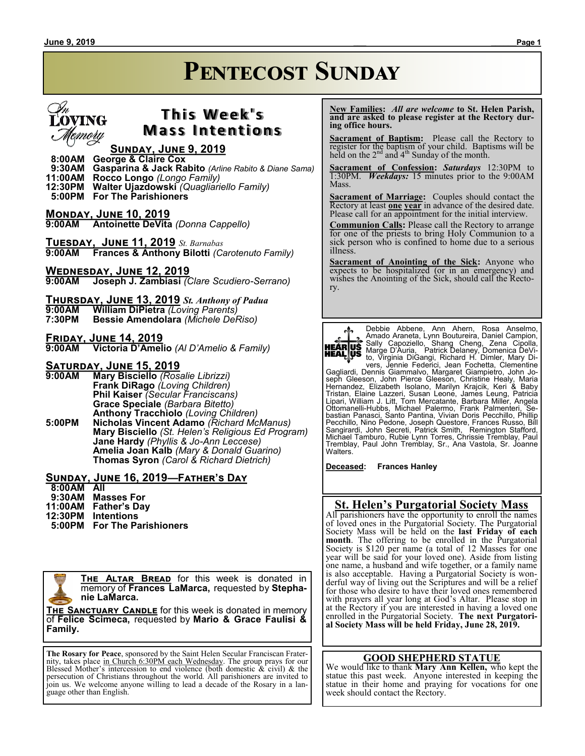# **Pentecost Sunday**

# EOVING emory

## **T h i s We e k ' s Mass Intentions**

#### **Sunday, June 9, 2019**

- **8:00AM George & Claire Cox 9:30AM Gasparina & Jack Rabito** *(Arline Rabito & Diane Sama)*
- **11:00AM Rocco Longo** *(Longo Family)*
- **12:30PM Walter Ujazdowski** *(Quagliariello Family)*
- **5:00PM For The Parishioners**

**MONDAY, JUNE 10, 2019**<br>9:00AM Antoinette DeVita **9:00AM Antoinette DeVita** *(Donna Cappello)*

**Tuesday, June 11, 2019** *St. Barnabas* **Frances & Anthony Bilotti** *(Carotenuto Family)* 

**WEDNESDAY, JUNE 12, 2019**<br>9:00AM Joseph J. Zambiasi ( **9:00AM Joseph J. Zambiasi** *(Clare Scudiero-Serrano)*

- **Thursday, June 13, 2019** *St. Anthony of Padua* **9:00AM William DiPietra** *(Loving Parents)* **7:30PM Bessie Amendolara** *(Michele DeRiso)*
- 

**Friday, June 14, 2019**

**9:00AM Victoria D'Amelio** *(Al D'Amelio & Family)*

## **<u>SATURDAY, JUNE 15, 2019</u>**<br>9:00AM Mary Bisciello (Ros

**9:00AM Mary Bisciello** *(Rosalie Librizzi)* **Frank DiRago** *(Loving Children)* **Phil Kaiser** *(Secular Franciscans)* **Grace Speciale** *(Barbara Bitetto)* **Anthony Tracchiolo** *(Loving Children)* **5:00PM Nicholas Vincent Adamo** *(Richard McManus)*

**Mary Bisciello** *(St. Helen's Religious Ed Program)* **Jane Hardy** *(Phyllis & Jo-Ann Leccese)* **Amelia Joan Kalb** *(Mary & Donald Guarino)* **Thomas Syron** *(Carol & Richard Dietrich)*

#### **Sunday, June 16, 2019—Father's Day**

 **8:00AM All**

- **9:30AM Masses For**
- **11:00AM Father's Day**
- **12:30PM Intentions**
- **5:00PM For The Parishioners**

**The Altar Bread** for this week is donated in memory of **Frances LaMarca,** requested by **Stephanie LaMarca.**

**THE SANCTUARY CANDLE** for this week is donated in memory of **Felice Scimeca,** requested by **Mario & Grace Faulisi & Family.**

**The Rosary for Peace**, sponsored by the Saint Helen Secular Franciscan Fraternity, takes place in Church 6:30PM each Wednesday. The group prays for our Blessed Mother's intercession to end violence (both domestic & civil) & the persecution of Christians throughout the world. All parishioners are invited to join us. We welcome anyone willing to lead a decade of the Rosary in a language other than English.

 **New Families:** *All are welcome* **to St. Helen Parish, and are asked to please register at the Rectory during office hours.**

**Sacrament of Baptism:**Please call the Rectory to register for the baptism of your child. Baptisms will be held on the  $2<sup>nd</sup>$  and  $4<sup>th</sup>$  Sunday of the month.

**Sacrament of Confession:** *Saturdays* 12:30PM to 1:30PM. *Weekdays:* 15 minutes prior to the 9:00AM Mass.

**Sacrament of Marriage:**Couples should contact the Rectory at least **one year** in advance of the desired date. Please call for an appointment for the initial interview.

**Communion Calls:** Please call the Rectory to arrange for one of the priests to bring Holy Communion to a sick person who is confined to home due to a serious illness.

**Sacrament of Anointing of the Sick:** Anyone who expects to be hospitalized (or in an emergency) and wishes the Anointing of the Sick, should call the Rectory.



Debbie Abbene, Ann Ahern, Rosa Anselmo,<br>Amado-Araneta, Lynn Boutureira, Daniel Campion, Sally Capoziello, Shang Cheng, Zena Cipolla,<br>Marge D'Auria, Patrick Delaney, Domenica DeVi-<br>to, Virginia DiGangi, Richard H. Dimler, Mary Di-<br>vers, Jennie Federici, Jean Fochetta, Clementine

Gagliardi, Dennis Giammalvo, Margaret Giampietro, John Joseph Gleeson, John Pierce Gleeson, Christine Healy, Maria<br>Hernandez, Elizabeth Isolano, Marilyn Krajcik, Keri & Baby<br>Tristan, Elaine Lazzeri, Susan Leone, James Leung, Patricia<br>Lipari, William J. Litt, Tom Mercatante, Barb

**Deceased: Frances Hanley**

#### **St. Helen's Purgatorial Society Mass**

All parishioners have the opportunity to enroll the names of loved ones in the Purgatorial Society. The Purgatorial Society Mass will be held on the **last Friday of each month**. The offering to be enrolled in the Purgatorial Society is \$120 per name (a total of 12 Masses for one year will be said for your loved one). Aside from listing one name, a husband and wife together, or a family name is also acceptable. Having a Purgatorial Society is wonderful way of living out the Scriptures and will be a relief for those who desire to have their loved ones remembered with prayers all year long at God's Altar. Please stop in at the Rectory if you are interested in having a loved one enrolled in the Purgatorial Society. **The next Purgatorial Society Mass will be held Friday, June 28, 2019.**

#### **GOOD SHEPHERD STATUE**

We would like to thank **Mary Ann Kellen,** who kept the statue this past week. Anyone interested in keeping the statue in their home and praying for vocations for one week should contact the Rectory.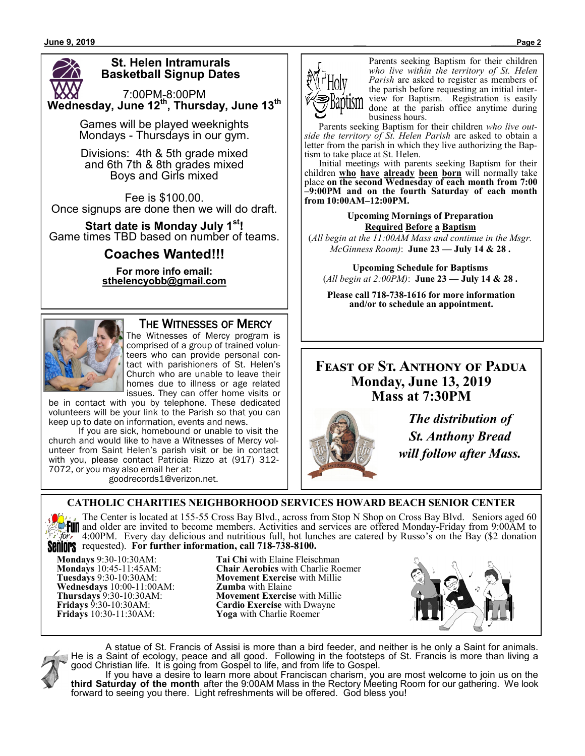## **St. Helen Intramurals Basketball Signup Dates**

7:00PM-8:00PM **Wednesday, June 12th, Thursday, June 13th**

> Games will be played weeknights Mondays - Thursdays in our gym.

Divisions: 4th & 5th grade mixed and 6th 7th & 8th grades mixed Boys and Girls mixed

Fee is \$100.00. Once signups are done then we will do draft.

**Start date is Monday July 1st!** Game times TBD based on number of teams.

## **Coaches Wanted!!!**

**For more info email: sthelencyobb@gmail.com**



## THE WITNESSES OF MERCY

The Witnesses of Mercy program is comprised of a group of trained volunteers who can provide personal contact with parishioners of St. Helen's Church who are unable to leave their homes due to illness or age related issues. They can offer home visits or

be in contact with you by telephone. These dedicated volunteers will be your link to the Parish so that you can keep up to date on information, events and news.

If you are sick, homebound or unable to visit the church and would like to have a Witnesses of Mercy volunteer from Saint Helen's parish visit or be in contact with you, please contact Patricia Rizzo at (917) 312- 7072, or you may also email her at:

goodrecords1@verizon.net.



Parents seeking Baptism for their children *who live within the territory of St. Helen Parish* are asked to register as members of the parish before requesting an initial interview for Baptism. Registration is easily done at the parish office anytime during business hours.

 Parents seeking Baptism for their children *who live outside the territory of St. Helen Parish* are asked to obtain a letter from the parish in which they live authorizing the Baptism to take place at St. Helen.

 Initial meetings with parents seeking Baptism for their children **who have already been born** will normally take place **on the second Wednesday of each month from 7:00 –9:00PM and on the fourth Saturday of each month from 10:00AM–12:00PM.**

> **Upcoming Mornings of Preparation Required Before a Baptism**

(*All begin at the 11:00AM Mass and continue in the Msgr. McGinness Room)*: **June 23 — July 14 & 28 .**

**Upcoming Schedule for Baptisms** (*All begin at 2:00PM)*: **June 23 — July 14 & 28 .**

**Please call 718-738-1616 for more information and/or to schedule an appointment.**

## **Feast of St. Anthony of Padua Monday, June 13, 2019 Mass at 7:30PM**



*The distribution of St. Anthony Bread will follow after Mass.*

## **CATHOLIC CHARITIES NEIGHBORHOOD SERVICES HOWARD BEACH SENIOR CENTER**

The Center is located at 155-55 Cross Bay Blvd., across from Stop N Shop on Cross Bay Blvd. Seniors aged 60  $\frac{1}{2}$  The Center is located at 199-99 Closs Day Divut, activities and services are offered Monday-Friday from 9:00AM to<br> $\frac{1}{2}$   $\frac{1}{2}$  and older are invited to become members. Activities and services are offered 4:00PM. Every day delicious and nutritious full, hot lunches are catered by Russo's on the Bay (\$2 donation requested). **For further information, call 718-738-8100.**

**Wednesdays** 10:00-11:00AM:

**Mondays** 9:30-10:30AM: **Tai Chi** with Elaine Fleischman **Mondays** 10:45-11:45AM: **Chair Aerobics** with Charlie Roemer **Movement Exercise** with Millie **Zumba** with Elaine **Thursdays** 9:30-10:30AM: **Movement Exercise** with Millie **Fridays** 9:30-10:30AM: **Cardio Exercise** with Dwayne<br> **Fridays** 10:30-11:30AM: **Yoga** with Charlie Roemer **Yoga** with Charlie Roemer





A statue of St. Francis of Assisi is more than a bird feeder, and neither is he only a Saint for animals. He is a Saint of ecology, peace and all good. Following in the footsteps of St. Francis is more than living a good Christian life. It is going from Gospel to life, and from life to Gospel.

If you have a desire to learn more about Franciscan charism, you are most welcome to join us on the **third Saturday of the month** after the 9:00AM Mass in the Rectory Meeting Room for our gathering. We look forward to seeing you there. Light refreshments will be offered. God bless you!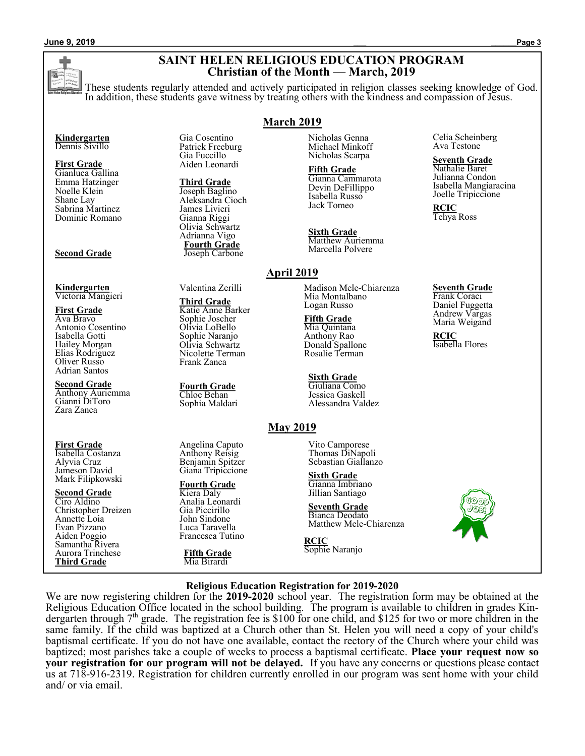#### **SAINT HELEN RELIGIOUS EDUCATION PROGRAM Christian of the Month — March, 2019**

These students regularly attended and actively participated in religion classes seeking knowledge of God. In addition, these students gave witness by treating others with the kindness and compassion of Jesus.

**March 2019**

**April 2019**

#### **Kindergarten** Dennis Sivillo

**First Grade** Gianluca Gallina Emma Hatzinger Noelle Klein Shane Lay Sabrina Martinez Dominic Romano

#### **Second Grade**

**Kindergarten** Victoria Mangieri

**First Grade** Ava Bravo Antonio Cosentino Isabella Gotti Hailey Morgan Elias Rodriguez Oliver Russo Adrian Santos

**Second Grade** Anthony Auriemma Gianni DiToro Zara Zanca

#### **First Grade**

Isabella Costanza Alyvia Cruz Jameson David Mark Filipkowski

#### **Second Grade**

Ciro Aldino Christopher Dreizen Annette Loia Evan Pizzano Aiden Poggio Samantha Rivera Aurora Trinchese **Third Grade**

Gia Cosentino Patrick Freeburg Gia Fuccillo Aiden Leonardi

**Third Grade** Joseph Baglino Aleksandra Cioch James Livieri Gianna Riggi Olivia Schwartz Adrianna Vigo **Fourth Grade** Joseph Carbone

Valentina Zerilli

**Third Grade** Katie Anne Barker Sophie Joscher Olivia LoBello Sophie Naranjo Olivia Schwartz Nicolette Terman Frank Zanca

**Fourth Grade** Chloe Behan Sophia Maldari

Angelina Caputo Anthony Reisig Benjamin Spitzer Giana Tripiccione

 **Fourth Grade** Kiera Daly Analia Leonardi Gia Piccirillo John Sindone Luca Taravella Francesca Tutino

**Fifth Grade** Mia Birardi

Nicholas Genna Michael Minkoff Nicholas Scarpa

**Fifth Grade** Gianna Cammarota Devin DeFillippo Isabella Russo Jack Tomeo

**Sixth Grade** Matthew Auriemma Marcella Polvere

Madison Mele-Chiarenza Mia Montalbano Logan Russo

**Fifth Grade** Mia Quintana Anthony Rao Donald Spallone Rosalie Terman

**Sixth Grade** Giuliana Como Jessica Gaskell Alessandra Valdez

## **May 2019**

Vito Camporese Thomas DiNapoli Sebastian Giallanzo

**Sixth Grade** Gianna Imbriano Jillian Santiago

**Seventh Grade** Bianca Deodato Matthew Mele-Chiarenza

**RCIC** Sophie Naranjo Celia Scheinberg Ava Testone

**Seventh Grade**

Nathalie Baret Julianna Condon Isabella Mangiaracina Joelle Tripiccione

**RCIC** Tehya Ross

#### **Seventh Grade** Frank Coraci

Daniel Fuggetta Andrew Vargas Maria Weigand

**RCIC** Isabella Flores

**Religious Education Registration for 2019-2020**

We are now registering children for the **2019-2020** school year. The registration form may be obtained at the Religious Education Office located in the school building. The program is available to children in grades Kindergarten through 7<sup>th</sup> grade. The registration fee is \$100 for one child, and \$125 for two or more children in the same family. If the child was baptized at a Church other than St. Helen you will need a copy of your child's baptismal certificate. If you do not have one available, contact the rectory of the Church where your child was baptized; most parishes take a couple of weeks to process a baptismal certificate. **Place your request now so your registration for our program will not be delayed.** If you have any concerns or questions please contact us at 718-916-2319. Registration for children currently enrolled in our program was sent home with your child and/ or via email.

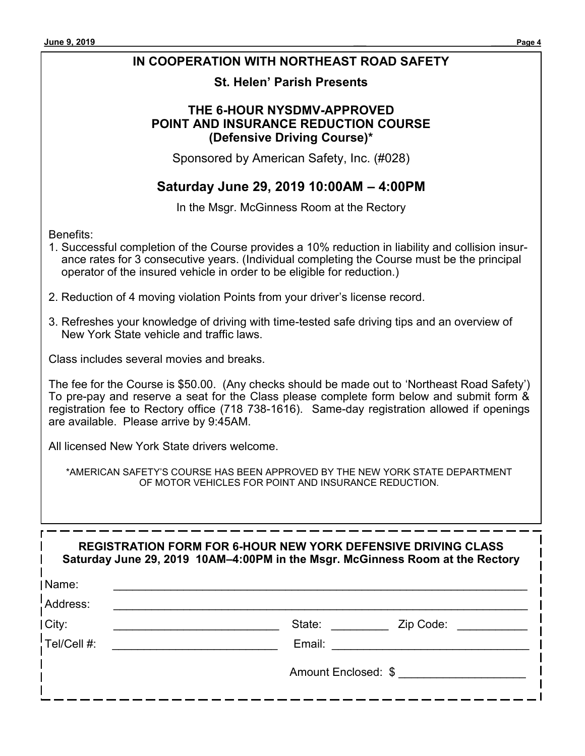### **IN COOPERATION WITH NORTHEAST ROAD SAFETY**

### **St. Helen' Parish Presents**

### **THE 6-HOUR NYSDMV-APPROVED POINT AND INSURANCE REDUCTION COURSE (Defensive Driving Course)\***

Sponsored by American Safety, Inc. (#028)

## **Saturday June 29, 2019 10:00AM – 4:00PM**

In the Msgr. McGinness Room at the Rectory

Benefits:

- 1. Successful completion of the Course provides a 10% reduction in liability and collision insurance rates for 3 consecutive years. (Individual completing the Course must be the principal operator of the insured vehicle in order to be eligible for reduction.)
- 2. Reduction of 4 moving violation Points from your driver's license record.
- 3. Refreshes your knowledge of driving with time-tested safe driving tips and an overview of New York State vehicle and traffic laws.

Class includes several movies and breaks.

The fee for the Course is \$50.00. (Any checks should be made out to 'Northeast Road Safety') To pre-pay and reserve a seat for the Class please complete form below and submit form & registration fee to Rectory office (718 738-1616). Same-day registration allowed if openings are available. Please arrive by 9:45AM.

All licensed New York State drivers welcome.

\*AMERICAN SAFETY'S COURSE HAS BEEN APPROVED BY THE NEW YORK STATE DEPARTMENT OF MOTOR VEHICLES FOR POINT AND INSURANCE REDUCTION.

|                 | <b>REGISTRATION FORM FOR 6-HOUR NEW YORK DEFENSIVE DRIVING CLASS</b><br>Saturday June 29, 2019 10AM-4:00PM in the Msgr. McGinness Room at the Rectory |
|-----------------|-------------------------------------------------------------------------------------------------------------------------------------------------------|
| Name:           |                                                                                                                                                       |
| !Address:       |                                                                                                                                                       |
| City:           | State:<br>Zip Code:                                                                                                                                   |
| $!$ Tel/Cell #: | Email:                                                                                                                                                |
|                 | Amount Enclosed: \$                                                                                                                                   |